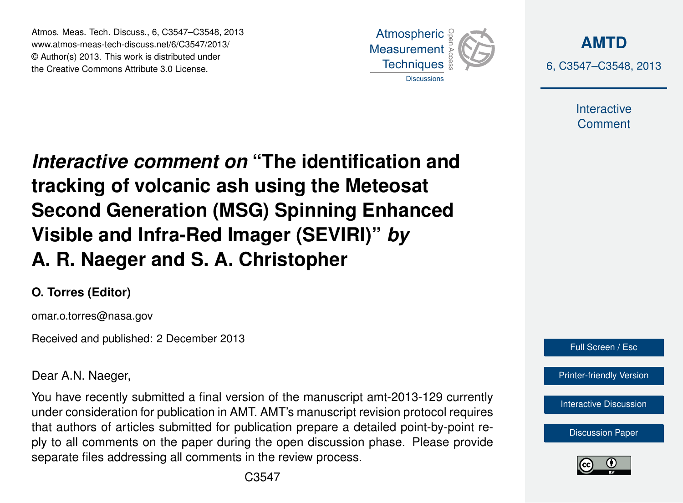Atmos. Meas. Tech. Discuss., 6, C3547–C3548, 2013 Atmospheric www.atmos-meas-tech-discuss.net/6/C3547/2013/ www.atmos-meas-tech-discuss.net/o/O3547/2013/<br>© Author(s) 2013. This work is distributed under the Creative Commons Attribute 3.0 License.



**[AMTD](http://www.atmos-meas-tech-discuss.net)** 6, C3547–C3548, 2013

> Interactive **Comment**

Interactive comment on "The identification and of the Indian of the Past of the Past of the Past of the Past of the Past of the Past of the Past of the Past o Open Access  $\overline{\phantom{a}}$ tracking of volcanic ash using the Meteosat  $\overline{B}$  and  $\overline{B}$ Visible and Infra-Red Imager (SEVIRI)" *by* Open Access  $\overline{a}$ **Second Generation (MSG) Spinning Enhanced A. R. Naeger and S. A. Christopher**

## **O. Torres (Editor)**

omar.o.torres@nasa.gov

Received and published: 2 December 2013

Dear A.N. Naeger,

For have recently education and recent of the manuscript and EC CE can entry<br>under consideration for publication in AMT. AMT's manuscript revision protocol requires Entert System Systems of articles submitted for publication prepare a detailed point-by-point remat detects of different committee of premedient property a detection promine point to ply to all comments on the paper during the open discussion phase. Please provide o<br>Ol<br>. open Access You have recently submitted a final version of the manuscript amt-2013-129 currently separate files addressing all comments in the review process.



[Printer-friendly Version](http://www.atmos-meas-tech-discuss.net/6/C3547/2013/amtd-6-C3547-2013-print.pdf)

[Interactive Discussion](http://www.atmos-meas-tech-discuss.net/6/5577/2013/amtd-6-5577-2013-discussion.html)

[Discussion Paper](http://www.atmos-meas-tech-discuss.net/6/5577/2013/amtd-6-5577-2013.pdf)



Ocean Science